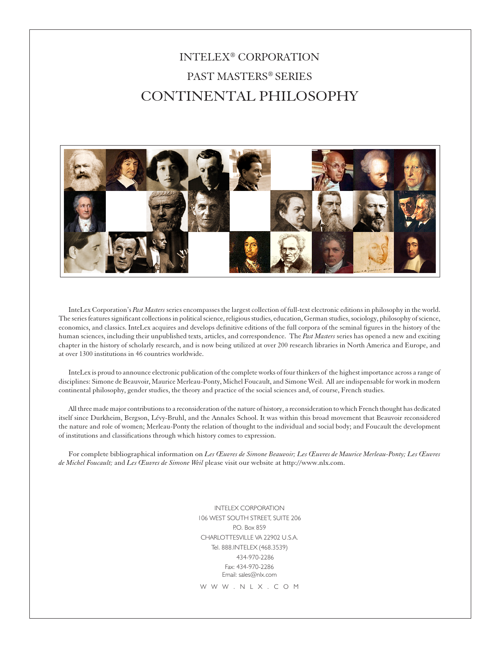# INTELEX® CORPORATION PAST MASTERS® SERIES CONTINENTAL PHILOSOPHY



InteLex Corporation's *Past Masters* series encompasses the largest collection of full-text electronic editions in philosophy in the world. The series features significant collections in political science, religious studies, education, German studies, sociology, philosophy of science, economics, and classics. InteLex acquires and develops definitive editions of the full corpora of the seminal figures in the history of the human sciences, including their unpublished texts, articles, and correspondence. The *Past Masters* series has opened a new and exciting chapter in the history of scholarly research, and is now being utilized at over 200 research libraries in North America and Europe, and at over 1300 institutions in 46 countries worldwide.

InteLex is proud to announce electronic publication of the complete works of four thinkers of the highest importance across a range of disciplines: Simone de Beauvoir, Maurice Merleau-Ponty, Michel Foucault, and Simone Weil. All are indispensable for work in modern continental philosophy, gender studies, the theory and practice of the social sciences and, of course, French studies.

All three made major contributions to a reconsideration of the nature of history, a reconsideration to which French thought has dedicated itself since Durkheim, Bergson, Lévy-Bruhl, and the Annales School. It was within this broad movement that Beauvoir reconsidered the nature and role of women; Merleau-Ponty the relation of thought to the individual and social body; and Foucault the development of institutions and classifications through which history comes to expression.

For complete bibliographical information on *Les Œuvres de Simone Beauvoir; Les Œuvres de Maurice Merleau-Ponty; Les Œuvres de Michel Foucault;* and *Les Œuvres de Simone Weil* please visit our website at http://www.nlx.com.

> INTELEX CORPORATION 106 WEST SOUTH STREET, SUITE 206 P.O. Box 859 CHARLOTTESVILLE VA 22902 U.S.A. Tel. 888.INTELEX (468.3539) 434-970-2286 Fax: 434-970-2286 Email: sales@nlx.com

W W W . N L X . C O M